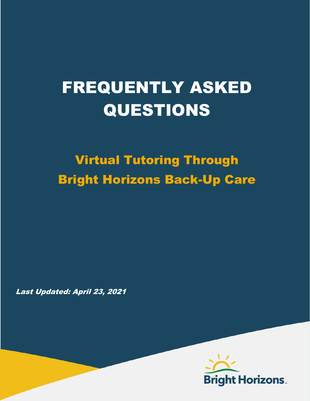# FREQUENTLY ASKED QUESTIONS

Virtual Tutoring Through Bright Horizons Back-Up Care

Last Updated: April 23, 2021

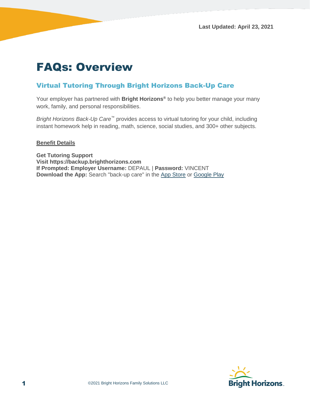# FAQs: Overview

### Virtual Tutoring Through Bright Horizons Back-Up Care

Your employer has partnered with **Bright Horizons®** to help you better manage your many work, family, and personal responsibilities.

*Bright Horizons Back-Up Care*™ provides access to virtual tutoring for your child, including instant homework help in reading, math, science, social studies, and 300+ other subjects.

#### **Benefit Details**

**Get Tutoring Support Visit https://backup.brighthorizons.com If Prompted: Employer Username:** DEPAUL | **Password:** VINCENT **Download the App:** Search "back-up care" in the [App Store](https://itunes.apple.com/us/app/back-up-care/id947422033?mt=8) or [Google Play](https://play.google.com/store/apps/details?id=com.brighthorizons.backupcare&hl=en_US)

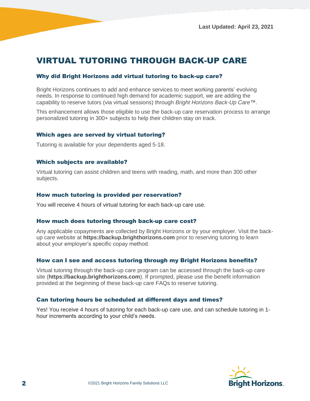## VIRTUAL TUTORING THROUGH BACK-UP CARE

#### Why did Bright Horizons add virtual tutoring to back-up care?

Bright Horizons continues to add and enhance services to meet working parents' evolving needs. In response to continued high demand for academic support, we are adding the capability to reserve tutors (via virtual sessions) through *Bright Horizons Back-Up Care™*.

This enhancement allows those eligible to use the back-up care reservation process to arrange personalized tutoring in 300+ subjects to help their children stay on track.

#### Which ages are served by virtual tutoring?

Tutoring is available for your dependents aged 5-18.

#### Which subjects are available?

Virtual tutoring can assist children and teens with reading, math, and more than 300 other subjects.

#### How much tutoring is provided per reservation?

You will receive 4 hours of virtual tutoring for each back-up care use.

#### How much does tutoring through back-up care cost?

Any applicable copayments are collected by Bright Horizons or by your employer. Visit the backup care website at **https://backup.brighthorizons.com** prior to reserving tutoring to learn about your employer's specific copay method.

#### How can I see and access tutoring through my Bright Horizons benefits?

Virtual tutoring through the back-up care program can be accessed through the back-up care site (**https://backup.brighthorizons.com**). If prompted, please use the benefit information provided at the beginning of these back-up care FAQs to reserve tutoring.

#### Can tutoring hours be scheduled at different days and times?

Yes! You receive 4 hours of tutoring for each back-up care use, and can schedule tutoring in 1 hour increments according to your child's needs.

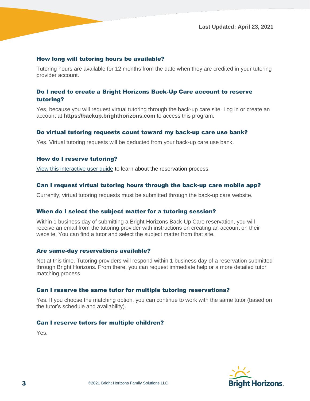#### How long will tutoring hours be available?

Tutoring hours are available for 12 months from the date when they are credited in your tutoring provider account.

#### Do I need to create a Bright Horizons Back-Up Care account to reserve tutoring?

Yes, because you will request virtual tutoring through the back-up care site. Log in or create an account at **https://backup.brighthorizons.com** to access this program.

#### Do virtual tutoring requests count toward my back-up care use bank?

Yes. Virtual tutoring requests will be deducted from your back-up care use bank.

#### How do I reserve tutoring?

[View this interactive user guide](https://brighthorizons.nickelled.com/virtual-tutoring) to learn about the reservation process.

#### Can I request virtual tutoring hours through the back-up care mobile app?

Currently, virtual tutoring requests must be submitted through the back-up care website.

#### When do I select the subject matter for a tutoring session?

Within 1 business day of submitting a Bright Horizons Back-Up Care reservation, you will receive an email from the tutoring provider with instructions on creating an account on their website. You can find a tutor and select the subject matter from that site.

#### Are same-day reservations available?

Not at this time. Tutoring providers will respond within 1 business day of a reservation submitted through Bright Horizons. From there, you can request immediate help or a more detailed tutor matching process.

#### Can I reserve the same tutor for multiple tutoring reservations?

Yes. If you choose the matching option, you can continue to work with the same tutor (based on the tutor's schedule and availability).

#### Can I reserve tutors for multiple children?

Yes.